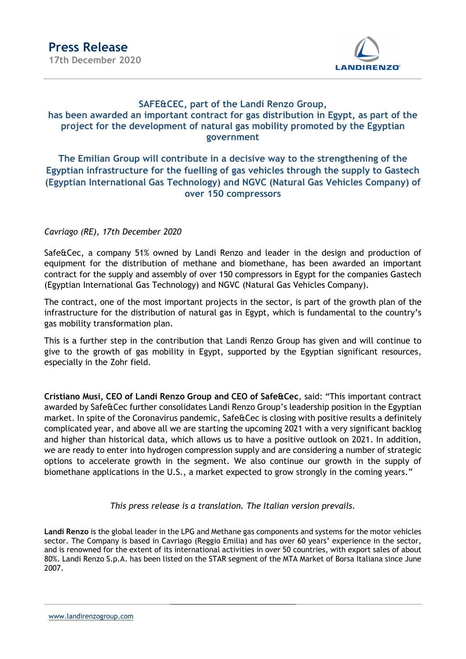

# SAFE&CEC, part of the Landi Renzo Group, has been awarded an important contract for gas distribution in Egypt, as part of the project for the development of natural gas mobility promoted by the Egyptian government

## The Emilian Group will contribute in a decisive way to the strengthening of the Egyptian infrastructure for the fuelling of gas vehicles through the supply to Gastech (Egyptian International Gas Technology) and NGVC (Natural Gas Vehicles Company) of over 150 compressors

## Cavriago (RE), 17th December 2020

Safe&Cec, a company 51% owned by Landi Renzo and leader in the design and production of equipment for the distribution of methane and biomethane, has been awarded an important contract for the supply and assembly of over 150 compressors in Egypt for the companies Gastech (Egyptian International Gas Technology) and NGVC (Natural Gas Vehicles Company).

The contract, one of the most important projects in the sector, is part of the growth plan of the infrastructure for the distribution of natural gas in Egypt, which is fundamental to the country's gas mobility transformation plan.

This is a further step in the contribution that Landi Renzo Group has given and will continue to give to the growth of gas mobility in Egypt, supported by the Egyptian significant resources, especially in the Zohr field.

Cristiano Musi, CEO of Landi Renzo Group and CEO of Safe&Cec, said: "This important contract awarded by Safe&Cec further consolidates Landi Renzo Group's leadership position in the Egyptian market. In spite of the Coronavirus pandemic, Safe&Cec is closing with positive results a definitely complicated year, and above all we are starting the upcoming 2021 with a very significant backlog and higher than historical data, which allows us to have a positive outlook on 2021. In addition, we are ready to enter into hydrogen compression supply and are considering a number of strategic options to accelerate growth in the segment. We also continue our growth in the supply of biomethane applications in the U.S., a market expected to grow strongly in the coming years."

#### This press release is a translation. The Italian version prevails.

Landi Renzo is the global leader in the LPG and Methane gas components and systems for the motor vehicles sector. The Company is based in Cavriago (Reggio Emilia) and has over 60 years' experience in the sector, and is renowned for the extent of its international activities in over 50 countries, with export sales of about 80%. Landi Renzo S.p.A. has been listed on the STAR segment of the MTA Market of Borsa Italiana since June 2007.